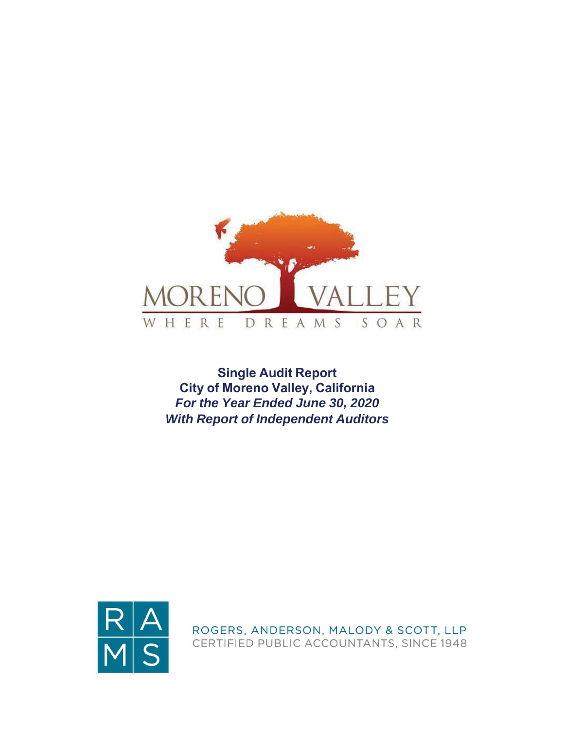

**Single Audit Report City of Moreno Valley, California** *For the Year Ended June 30, 2020 With Report of Independent Auditors*



ROGERS, ANDERSON, MALODY & SCOTT, LLP CERTIFIED PUBLIC ACCOUNTANTS, SINCE 1948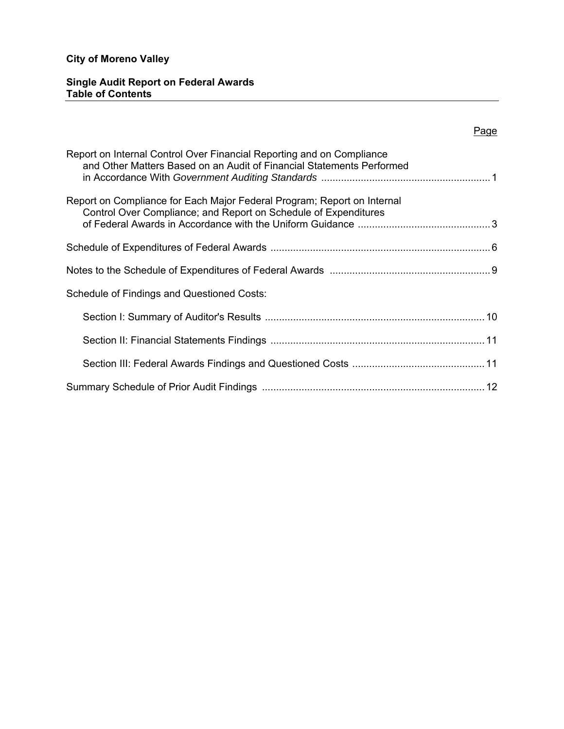## **Single Audit Report on Federal Awards Table of Contents**

## Page

| Report on Internal Control Over Financial Reporting and on Compliance<br>and Other Matters Based on an Audit of Financial Statements Performed |
|------------------------------------------------------------------------------------------------------------------------------------------------|
| Report on Compliance for Each Major Federal Program; Report on Internal<br>Control Over Compliance; and Report on Schedule of Expenditures     |
|                                                                                                                                                |
|                                                                                                                                                |
| Schedule of Findings and Questioned Costs:                                                                                                     |
|                                                                                                                                                |
|                                                                                                                                                |
|                                                                                                                                                |
|                                                                                                                                                |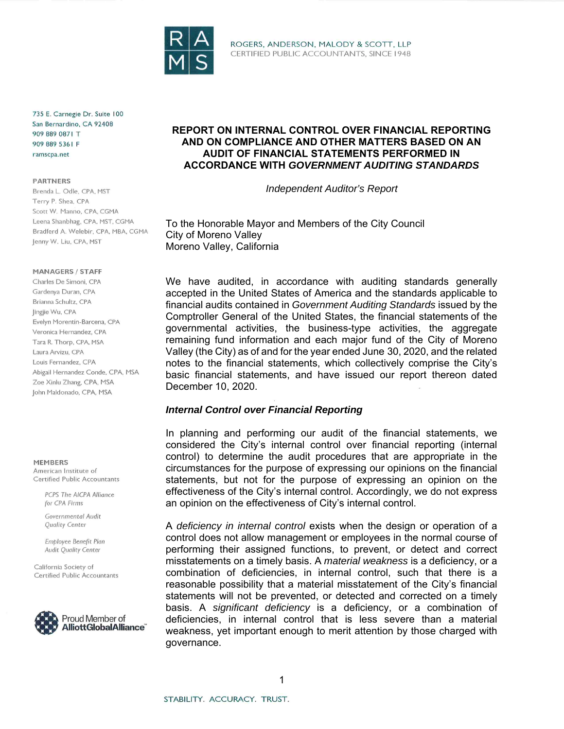

ROGERS, ANDERSON, MALODY & SCOTT, LLP CERTIFIED PUBLIC ACCOUNTANTS, SINCE 1948

735 E. Carnegie Dr. Suite 100 San Bernardino, CA 92408 909 889 0871 T 909 889 5361 F ramscpa.net

#### **PARTNERS**

Brenda L. Odle, CPA, MST Terry P. Shea, CPA Scott W. Manno, CPA, CGMA Leena Shanbhag, CPA, MST, CGMA Bradferd A. Welebir, CPA, MBA, CGMA Jenny W. Liu, CPA, MST

#### **MANAGERS / STAFF**

Charles De Simoni, CPA Gardenya Duran, CPA Brianna Schultz, CPA lingjie Wu, CPA Evelyn Morentin-Barcena, CPA Veronica Hernandez, CPA Tara R. Thorp, CPA, MSA Laura Arvizu, CPA Louis Fernandez, CPA Abigail Hernandez Conde, CPA, MSA Zoe Xinlu Zhang, CPA, MSA John Maldonado, CPA, MSA

#### **MEMBERS**

American Institute of Certified Public Accountants

> PCPS The AICPA Alliance for CPA Firms

Governmental Audit Quality Center

Employee Benefit Plan **Audit Quality Center** 

California Society of Certified Public Accountants



## **REPORT ON INTERNAL CONTROL OVER FINANCIAL REPORTING AND ON COMPLIANCE AND OTHER MATTERS BASED ON AN AUDIT OF FINANCIAL STATEMENTS PERFORMED IN ACCORDANCE WITH** *GOVERNMENT AUDITING STANDARDS*

*Independent Auditor's Report*

To the Honorable Mayor and Members of the City Council City of Moreno Valley Moreno Valley, California

We have audited, in accordance with auditing standards generally accepted in the United States of America and the standards applicable to financial audits contained in *Government Auditing Standards* issued by the Comptroller General of the United States, the financial statements of the governmental activities, the business-type activities, the aggregate remaining fund information and each major fund of the City of Moreno Valley (the City) as of and for the year ended June 30, 2020, and the related notes to the financial statements, which collectively comprise the City's basic financial statements, and have issued our report thereon dated December 10, 2020.

## *Internal Control over Financial Reporting*

In planning and performing our audit of the financial statements, we considered the City's internal control over financial reporting (internal control) to determine the audit procedures that are appropriate in the circumstances for the purpose of expressing our opinions on the financial statements, but not for the purpose of expressing an opinion on the effectiveness of the City's internal control. Accordingly, we do not express an opinion on the effectiveness of City's internal control.

A *deficiency in internal control* exists when the design or operation of a control does not allow management or employees in the normal course of performing their assigned functions, to prevent, or detect and correct misstatements on a timely basis. A *material weakness* is a deficiency, or a combination of deficiencies, in internal control, such that there is a reasonable possibility that a material misstatement of the City's financial statements will not be prevented, or detected and corrected on a timely basis. A *significant deficiency* is a deficiency, or a combination of deficiencies, in internal control that is less severe than a material weakness, yet important enough to merit attention by those charged with governance.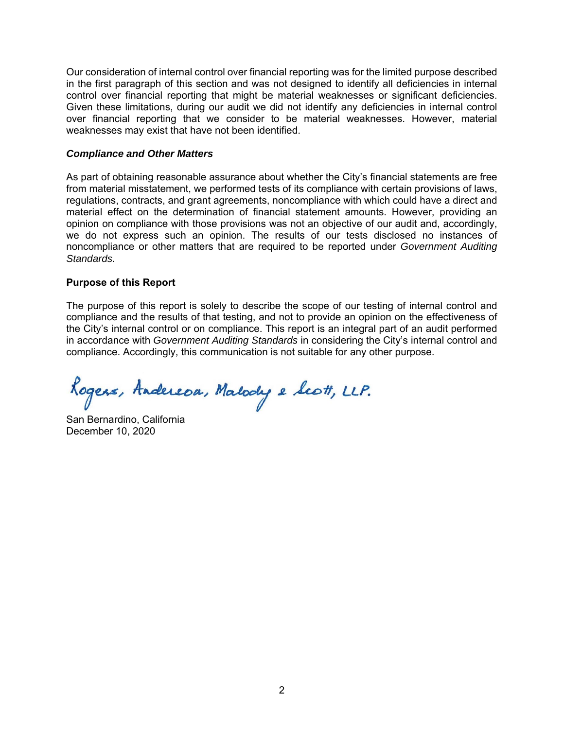Our consideration of internal control over financial reporting was for the limited purpose described in the first paragraph of this section and was not designed to identify all deficiencies in internal control over financial reporting that might be material weaknesses or significant deficiencies. Given these limitations, during our audit we did not identify any deficiencies in internal control over financial reporting that we consider to be material weaknesses. However, material weaknesses may exist that have not been identified.

## *Compliance and Other Matters*

As part of obtaining reasonable assurance about whether the City's financial statements are free from material misstatement, we performed tests of its compliance with certain provisions of laws, regulations, contracts, and grant agreements, noncompliance with which could have a direct and material effect on the determination of financial statement amounts. However, providing an opinion on compliance with those provisions was not an objective of our audit and, accordingly, we do not express such an opinion. The results of our tests disclosed no instances of noncompliance or other matters that are required to be reported under *Government Auditing Standards.*

## **Purpose of this Report**

The purpose of this report is solely to describe the scope of our testing of internal control and compliance and the results of that testing, and not to provide an opinion on the effectiveness of the City's internal control or on compliance. This report is an integral part of an audit performed in accordance with *Government Auditing Standards* in considering the City's internal control and compliance. Accordingly, this communication is not suitable for any other purpose.

Rogers, Andereou, Malody e Scott, LLP.

San Bernardino, California December 10, 2020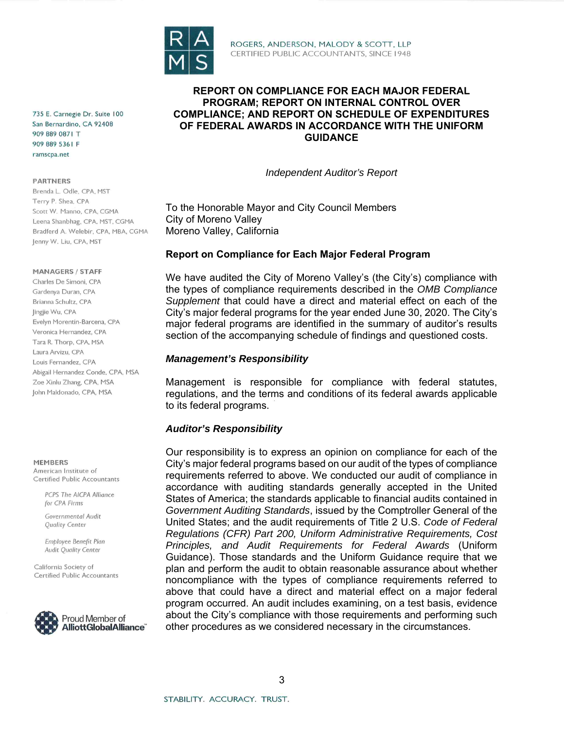

ROGERS, ANDERSON, MALODY & SCOTT, LLP CERTIFIED PUBLIC ACCOUNTANTS, SINCE 1948

735 E. Carnegie Dr. Suite 100 San Bernardino, CA 92408 909 889 0871 T 909 889 5361 F ramscpa.net

#### **PARTNERS**

Brenda L. Odle, CPA, MST Terry P. Shea, CPA Scott W. Manno, CPA, CGMA Leena Shanbhag, CPA, MST, CGMA Bradferd A. Welebir, CPA, MBA, CGMA Jenny W. Liu, CPA, MST

#### **MANAGERS / STAFF**

Charles De Simoni, CPA Gardenya Duran, CPA Brianna Schultz, CPA lingjie Wu, CPA Evelyn Morentin-Barcena, CPA Veronica Hernandez, CPA Tara R. Thorp, CPA, MSA Laura Arvizu, CPA Louis Fernandez, CPA Abigail Hernandez Conde, CPA, MSA Zoe Xinlu Zhang, CPA, MSA John Maldonado, CPA, MSA

MEMBERS

American Institute of Certified Public Accountants

> PCPS The AICPA Alliance for CPA Firms

Governmental Audit Quality Center

Employee Benefit Plan Audit Quality Center

California Society of Certified Public Accountants



**REPORT ON COMPLIANCE FOR EACH MAJOR FEDERAL PROGRAM; REPORT ON INTERNAL CONTROL OVER COMPLIANCE; AND REPORT ON SCHEDULE OF EXPENDITURES OF FEDERAL AWARDS IN ACCORDANCE WITH THE UNIFORM GUIDANCE** 

*Independent Auditor's Report* 

To the Honorable Mayor and City Council Members City of Moreno Valley Moreno Valley, California

## **Report on Compliance for Each Major Federal Program**

We have audited the City of Moreno Valley's (the City's) compliance with the types of compliance requirements described in the *OMB Compliance Supplement* that could have a direct and material effect on each of the City's major federal programs for the year ended June 30, 2020. The City's major federal programs are identified in the summary of auditor's results section of the accompanying schedule of findings and questioned costs.

## *Management's Responsibility*

Management is responsible for compliance with federal statutes, regulations, and the terms and conditions of its federal awards applicable to its federal programs.

## *Auditor's Responsibility*

Our responsibility is to express an opinion on compliance for each of the City's major federal programs based on our audit of the types of compliance requirements referred to above. We conducted our audit of compliance in accordance with auditing standards generally accepted in the United States of America; the standards applicable to financial audits contained in *Government Auditing Standards*, issued by the Comptroller General of the United States; and the audit requirements of Title 2 U.S. *Code of Federal Regulations (CFR) Part 200, Uniform Administrative Requirements, Cost Principles, and Audit Requirements for Federal Awards* (Uniform Guidance). Those standards and the Uniform Guidance require that we plan and perform the audit to obtain reasonable assurance about whether noncompliance with the types of compliance requirements referred to above that could have a direct and material effect on a major federal program occurred. An audit includes examining, on a test basis, evidence about the City's compliance with those requirements and performing such other procedures as we considered necessary in the circumstances.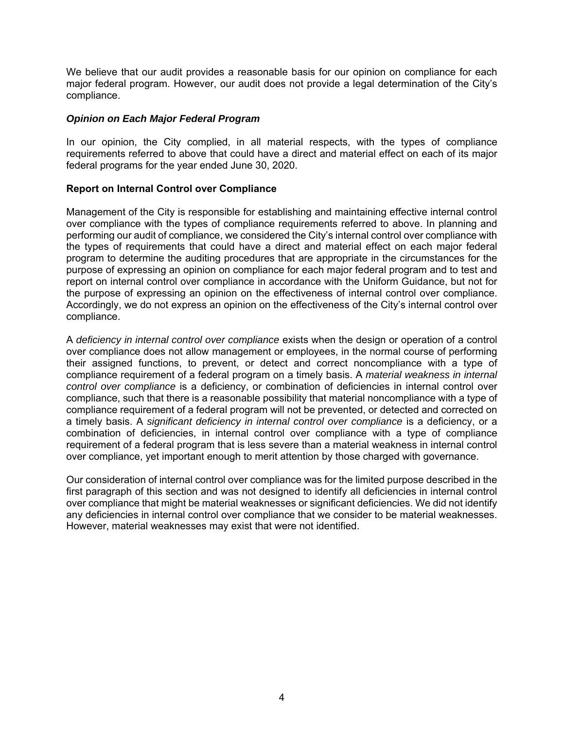We believe that our audit provides a reasonable basis for our opinion on compliance for each major federal program. However, our audit does not provide a legal determination of the City's compliance.

## *Opinion on Each Major Federal Program*

In our opinion, the City complied, in all material respects, with the types of compliance requirements referred to above that could have a direct and material effect on each of its major federal programs for the year ended June 30, 2020.

## **Report on Internal Control over Compliance**

Management of the City is responsible for establishing and maintaining effective internal control over compliance with the types of compliance requirements referred to above. In planning and performing our audit of compliance, we considered the City's internal control over compliance with the types of requirements that could have a direct and material effect on each major federal program to determine the auditing procedures that are appropriate in the circumstances for the purpose of expressing an opinion on compliance for each major federal program and to test and report on internal control over compliance in accordance with the Uniform Guidance, but not for the purpose of expressing an opinion on the effectiveness of internal control over compliance. Accordingly, we do not express an opinion on the effectiveness of the City's internal control over compliance.

A *deficiency in internal control over compliance* exists when the design or operation of a control over compliance does not allow management or employees, in the normal course of performing their assigned functions, to prevent, or detect and correct noncompliance with a type of compliance requirement of a federal program on a timely basis. A *material weakness in internal control over compliance* is a deficiency, or combination of deficiencies in internal control over compliance, such that there is a reasonable possibility that material noncompliance with a type of compliance requirement of a federal program will not be prevented, or detected and corrected on a timely basis. A *significant deficiency in internal control over compliance* is a deficiency, or a combination of deficiencies, in internal control over compliance with a type of compliance requirement of a federal program that is less severe than a material weakness in internal control over compliance, yet important enough to merit attention by those charged with governance.

Our consideration of internal control over compliance was for the limited purpose described in the first paragraph of this section and was not designed to identify all deficiencies in internal control over compliance that might be material weaknesses or significant deficiencies. We did not identify any deficiencies in internal control over compliance that we consider to be material weaknesses. However, material weaknesses may exist that were not identified.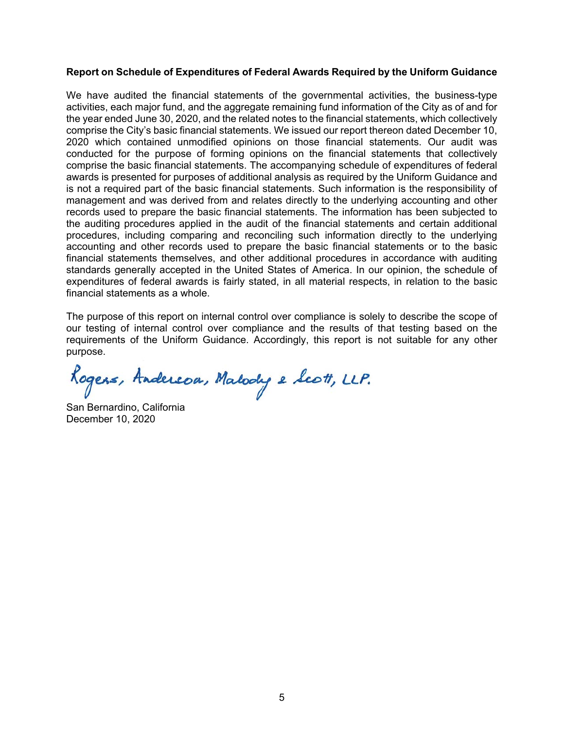## **Report on Schedule of Expenditures of Federal Awards Required by the Uniform Guidance**

We have audited the financial statements of the governmental activities, the business-type activities, each major fund, and the aggregate remaining fund information of the City as of and for the year ended June 30, 2020, and the related notes to the financial statements, which collectively comprise the City's basic financial statements. We issued our report thereon dated December 10, 2020 which contained unmodified opinions on those financial statements. Our audit was conducted for the purpose of forming opinions on the financial statements that collectively comprise the basic financial statements. The accompanying schedule of expenditures of federal awards is presented for purposes of additional analysis as required by the Uniform Guidance and is not a required part of the basic financial statements. Such information is the responsibility of management and was derived from and relates directly to the underlying accounting and other records used to prepare the basic financial statements. The information has been subjected to the auditing procedures applied in the audit of the financial statements and certain additional procedures, including comparing and reconciling such information directly to the underlying accounting and other records used to prepare the basic financial statements or to the basic financial statements themselves, and other additional procedures in accordance with auditing standards generally accepted in the United States of America. In our opinion, the schedule of expenditures of federal awards is fairly stated, in all material respects, in relation to the basic financial statements as a whole.

The purpose of this report on internal control over compliance is solely to describe the scope of our testing of internal control over compliance and the results of that testing based on the requirements of the Uniform Guidance. Accordingly, this report is not suitable for any other purpose.

Rogers, Andereou, Malody e Scott, LLP.

San Bernardino, California December 10, 2020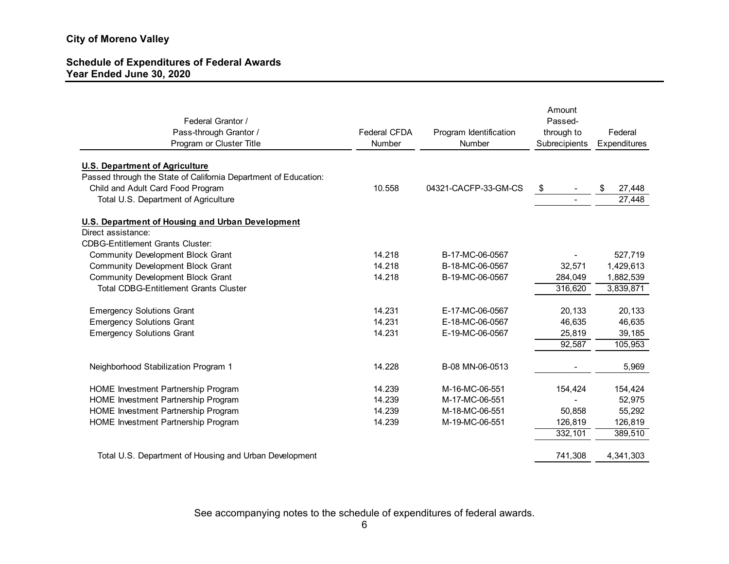## **Schedule of Expenditures of Federal Awards Year Ended June 30, 2020**

| Federal Grantor /<br>Pass-through Grantor /<br>Program or Cluster Title | <b>Federal CFDA</b><br>Number | Program Identification<br>Number | Amount<br>Passed-<br>through to<br>Subrecipients | Federal<br>Expenditures |
|-------------------------------------------------------------------------|-------------------------------|----------------------------------|--------------------------------------------------|-------------------------|
| <b>U.S. Department of Agriculture</b>                                   |                               |                                  |                                                  |                         |
| Passed through the State of California Department of Education:         |                               |                                  |                                                  |                         |
| Child and Adult Card Food Program                                       | 10.558                        | 04321-CACFP-33-GM-CS             | \$                                               | \$<br>27,448            |
| Total U.S. Department of Agriculture                                    |                               |                                  |                                                  | $\overline{27,}448$     |
| U.S. Department of Housing and Urban Development                        |                               |                                  |                                                  |                         |
| Direct assistance:                                                      |                               |                                  |                                                  |                         |
| <b>CDBG-Entitlement Grants Cluster:</b>                                 |                               |                                  |                                                  |                         |
| <b>Community Development Block Grant</b>                                | 14.218                        | B-17-MC-06-0567                  |                                                  | 527,719                 |
| <b>Community Development Block Grant</b>                                | 14.218                        | B-18-MC-06-0567                  | 32,571                                           | 1,429,613               |
| <b>Community Development Block Grant</b>                                | 14.218                        | B-19-MC-06-0567                  | 284,049                                          | 1,882,539               |
| <b>Total CDBG-Entitlement Grants Cluster</b>                            |                               |                                  | 316,620                                          | 3,839,871               |
| <b>Emergency Solutions Grant</b>                                        | 14.231                        | E-17-MC-06-0567                  | 20,133                                           | 20,133                  |
| <b>Emergency Solutions Grant</b>                                        | 14.231                        | E-18-MC-06-0567                  | 46,635                                           | 46,635                  |
| <b>Emergency Solutions Grant</b>                                        | 14.231                        | E-19-MC-06-0567                  | 25,819                                           | 39,185                  |
|                                                                         |                               |                                  | 92,587                                           | 105,953                 |
| Neighborhood Stabilization Program 1                                    | 14.228                        | B-08 MN-06-0513                  |                                                  | 5,969                   |
| HOME Investment Partnership Program                                     | 14.239                        | M-16-MC-06-551                   | 154,424                                          | 154,424                 |
| HOME Investment Partnership Program                                     | 14.239                        | M-17-MC-06-551                   |                                                  | 52,975                  |
| HOME Investment Partnership Program                                     | 14.239                        | M-18-MC-06-551                   | 50,858                                           | 55,292                  |
| HOME Investment Partnership Program                                     | 14.239                        | M-19-MC-06-551                   | 126,819                                          | 126,819                 |
|                                                                         |                               |                                  | 332,101                                          | 389,510                 |
| Total U.S. Department of Housing and Urban Development                  |                               |                                  | 741,308                                          | 4,341,303               |

See accompanying notes to the schedule of expenditures of federal awards.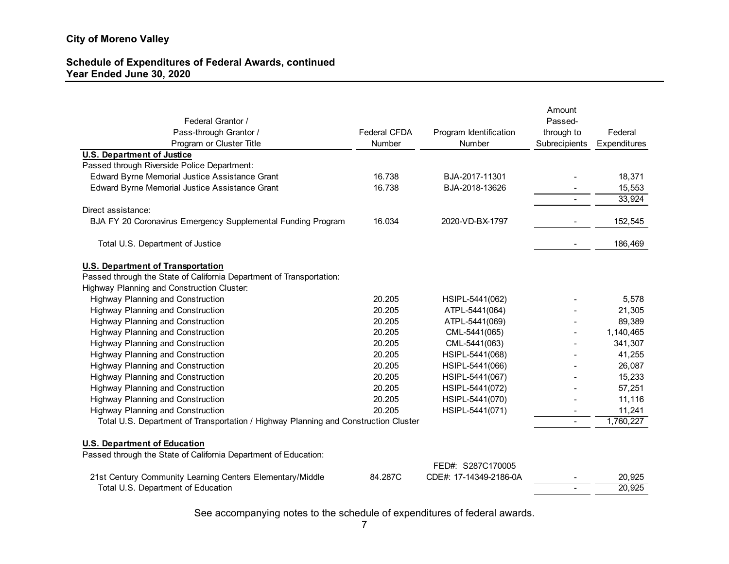## **Schedule of Expenditures of Federal Awards, continued Year Ended June 30, 2020**

|                                                                                     |                     |                        | Amount        |              |
|-------------------------------------------------------------------------------------|---------------------|------------------------|---------------|--------------|
| Federal Grantor /                                                                   |                     |                        | Passed-       |              |
| Pass-through Grantor /                                                              | <b>Federal CFDA</b> | Program Identification | through to    | Federal      |
| Program or Cluster Title                                                            | Number              | Number                 | Subrecipients | Expenditures |
| <b>U.S. Department of Justice</b>                                                   |                     |                        |               |              |
| Passed through Riverside Police Department:                                         |                     |                        |               |              |
| Edward Byrne Memorial Justice Assistance Grant                                      | 16.738              | BJA-2017-11301         |               | 18,371       |
| Edward Byrne Memorial Justice Assistance Grant                                      | 16.738              | BJA-2018-13626         |               | 15,553       |
|                                                                                     |                     |                        |               | 33,924       |
| Direct assistance:                                                                  |                     |                        |               |              |
| BJA FY 20 Coronavirus Emergency Supplemental Funding Program                        | 16.034              | 2020-VD-BX-1797        |               | 152,545      |
|                                                                                     |                     |                        |               |              |
| Total U.S. Department of Justice                                                    |                     |                        |               | 186,469      |
|                                                                                     |                     |                        |               |              |
| <b>U.S. Department of Transportation</b>                                            |                     |                        |               |              |
| Passed through the State of California Department of Transportation:                |                     |                        |               |              |
| Highway Planning and Construction Cluster:                                          |                     |                        |               |              |
| <b>Highway Planning and Construction</b>                                            | 20.205              | HSIPL-5441(062)        |               | 5,578        |
| <b>Highway Planning and Construction</b>                                            | 20.205              | ATPL-5441(064)         |               | 21,305       |
| <b>Highway Planning and Construction</b>                                            | 20.205              | ATPL-5441(069)         |               | 89,389       |
| Highway Planning and Construction                                                   | 20.205              | CML-5441(065)          |               | 1,140,465    |
| <b>Highway Planning and Construction</b>                                            | 20.205              | CML-5441(063)          |               | 341,307      |
| <b>Highway Planning and Construction</b>                                            | 20.205              | HSIPL-5441(068)        |               | 41,255       |
| <b>Highway Planning and Construction</b>                                            | 20.205              | HSIPL-5441(066)        |               | 26,087       |
| <b>Highway Planning and Construction</b>                                            | 20.205              | HSIPL-5441(067)        |               | 15,233       |
| <b>Highway Planning and Construction</b>                                            | 20.205              | HSIPL-5441(072)        |               | 57,251       |
| <b>Highway Planning and Construction</b>                                            | 20.205              | HSIPL-5441(070)        |               | 11,116       |
| <b>Highway Planning and Construction</b>                                            | 20.205              | HSIPL-5441(071)        |               | 11,241       |
| Total U.S. Department of Transportation / Highway Planning and Construction Cluster |                     |                        |               | 1,760,227    |
|                                                                                     |                     |                        |               |              |
| <b>U.S. Department of Education</b>                                                 |                     |                        |               |              |
| Passed through the State of California Department of Education:                     |                     |                        |               |              |
|                                                                                     |                     | FED#: S287C170005      |               |              |
| 21st Century Community Learning Centers Elementary/Middle                           | 84.287C             | CDE#: 17-14349-2186-0A |               | 20,925       |
| Total U.S. Department of Education                                                  |                     |                        |               | 20,925       |

See accompanying notes to the schedule of expenditures of federal awards.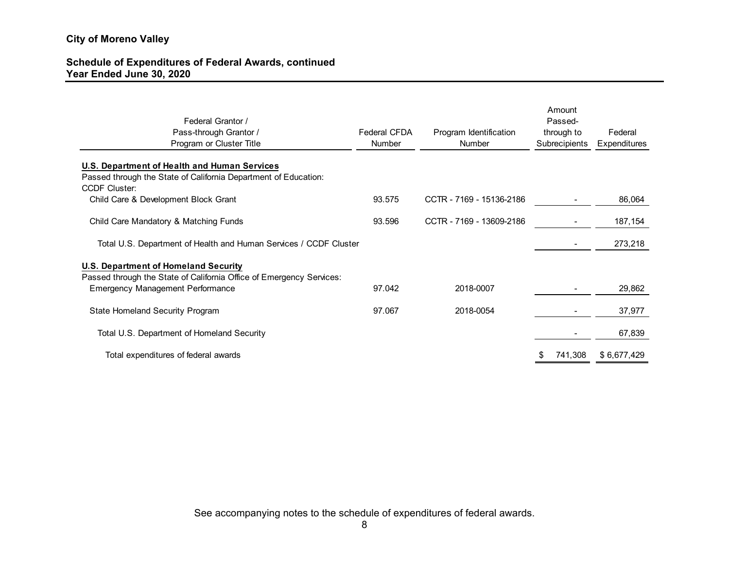## **Schedule of Expenditures of Federal Awards, continued Year Ended June 30, 2020**

| Federal Grantor /<br>Pass-through Grantor /<br>Program or Cluster Title | Federal CFDA<br>Number | Program Identification<br>Number | Amount<br>Passed-<br>through to<br>Subrecipients | Federal<br>Expenditures |
|-------------------------------------------------------------------------|------------------------|----------------------------------|--------------------------------------------------|-------------------------|
| U.S. Department of Health and Human Services                            |                        |                                  |                                                  |                         |
| Passed through the State of California Department of Education:         |                        |                                  |                                                  |                         |
| <b>CCDF Cluster:</b>                                                    |                        |                                  |                                                  |                         |
| Child Care & Development Block Grant                                    | 93.575                 | CCTR - 7169 - 15136-2186         |                                                  | 86,064                  |
|                                                                         |                        |                                  |                                                  |                         |
| Child Care Mandatory & Matching Funds                                   | 93.596                 | CCTR - 7169 - 13609-2186         |                                                  | 187,154                 |
| Total U.S. Department of Health and Human Services / CCDF Cluster       |                        |                                  |                                                  | 273,218                 |
| <b>U.S. Department of Homeland Security</b>                             |                        |                                  |                                                  |                         |
| Passed through the State of California Office of Emergency Services:    |                        |                                  |                                                  |                         |
| <b>Emergency Management Performance</b>                                 | 97.042                 | 2018-0007                        |                                                  | 29,862                  |
|                                                                         |                        |                                  |                                                  |                         |
| <b>State Homeland Security Program</b>                                  | 97.067                 | 2018-0054                        |                                                  | 37,977                  |
|                                                                         |                        |                                  |                                                  |                         |
| Total U.S. Department of Homeland Security                              |                        |                                  |                                                  | 67,839                  |
|                                                                         |                        |                                  |                                                  |                         |
| Total expenditures of federal awards                                    |                        |                                  | 741,308                                          | \$6,677,429             |
|                                                                         |                        |                                  |                                                  |                         |

See accompanying notes to the schedule of expenditures of federal awards.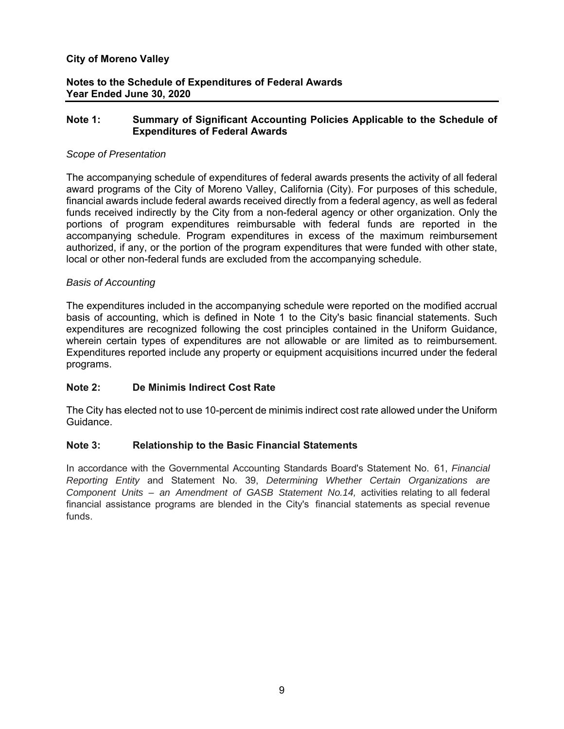## **Notes to the Schedule of Expenditures of Federal Awards Year Ended June 30, 2020**

## **Note 1: Summary of Significant Accounting Policies Applicable to the Schedule of Expenditures of Federal Awards**

## *Scope of Presentation*

The accompanying schedule of expenditures of federal awards presents the activity of all federal award programs of the City of Moreno Valley, California (City). For purposes of this schedule, financial awards include federal awards received directly from a federal agency, as well as federal funds received indirectly by the City from a non-federal agency or other organization. Only the portions of program expenditures reimbursable with federal funds are reported in the accompanying schedule. Program expenditures in excess of the maximum reimbursement authorized, if any, or the portion of the program expenditures that were funded with other state, local or other non-federal funds are excluded from the accompanying schedule.

#### *Basis of Accounting*

The expenditures included in the accompanying schedule were reported on the modified accrual basis of accounting, which is defined in Note 1 to the City's basic financial statements. Such expenditures are recognized following the cost principles contained in the Uniform Guidance, wherein certain types of expenditures are not allowable or are limited as to reimbursement. Expenditures reported include any property or equipment acquisitions incurred under the federal programs.

## **Note 2: De Minimis Indirect Cost Rate**

The City has elected not to use 10-percent de minimis indirect cost rate allowed under the Uniform Guidance.

## **Note 3: Relationship to the Basic Financial Statements**

In accordance with the Governmental Accounting Standards Board's Statement No. 61, *Financial Reporting Entity* and Statement No. 39, *Determining Whether Certain Organizations are Component Units – an Amendment of GASB Statement No.14, activities relating to all federal* financial assistance programs are blended in the City's financial statements as special revenue funds.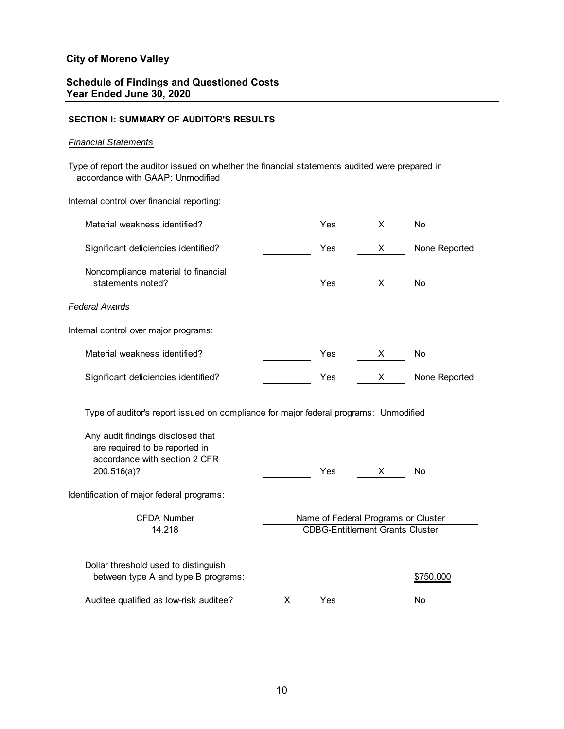## **Schedule of Findings and Questioned Costs Year Ended June 30, 2020**

#### **SECTION I: SUMMARY OF AUDITOR'S RESULTS**

#### *Financial Statements*

 accordance with GAAP: Unmodified Type of report the auditor issued on whether the financial statements audited were prepared in

Internal control over financial reporting:

| Material weakness identified?                                                                                       | Yes                                                                           | х | No            |  |
|---------------------------------------------------------------------------------------------------------------------|-------------------------------------------------------------------------------|---|---------------|--|
| Significant deficiencies identified?                                                                                | Yes                                                                           | X | None Reported |  |
| Noncompliance material to financial<br>statements noted?                                                            | Yes                                                                           | X | No            |  |
| <b>Federal Awards</b>                                                                                               |                                                                               |   |               |  |
| Internal control over major programs:                                                                               |                                                                               |   |               |  |
| Material weakness identified?                                                                                       | Yes                                                                           | X | No            |  |
| Significant deficiencies identified?                                                                                | Yes                                                                           | X | None Reported |  |
| Type of auditor's report issued on compliance for major federal programs: Unmodified                                |                                                                               |   |               |  |
| Any audit findings disclosed that<br>are required to be reported in<br>accordance with section 2 CFR<br>200.516(a)? | Yes                                                                           | X | No            |  |
| Identification of major federal programs:                                                                           |                                                                               |   |               |  |
| <b>CFDA Number</b><br>14.218                                                                                        | Name of Federal Programs or Cluster<br><b>CDBG-Entitlement Grants Cluster</b> |   |               |  |
| Dollar threshold used to distinguish<br>between type A and type B programs:                                         |                                                                               |   | \$750,000     |  |
| Auditee qualified as low-risk auditee?                                                                              | X<br>Yes                                                                      |   | No            |  |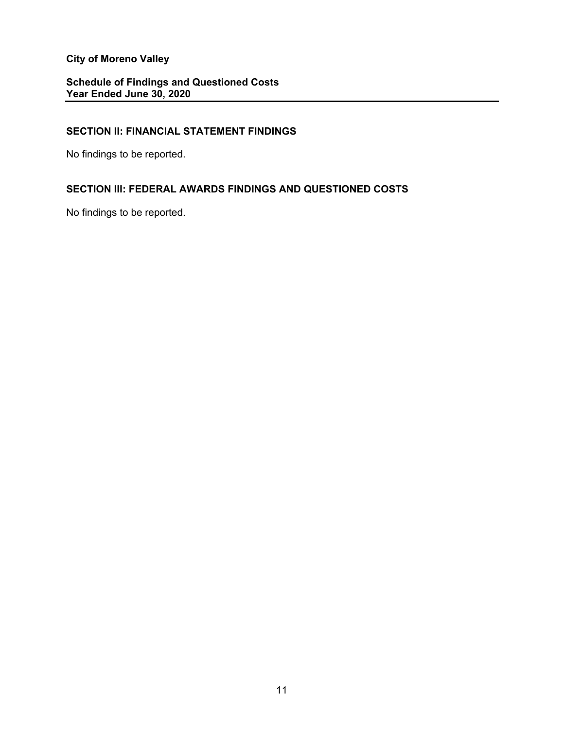## **Schedule of Findings and Questioned Costs Year Ended June 30, 2020**

## **SECTION II: FINANCIAL STATEMENT FINDINGS**

No findings to be reported.

## **SECTION III: FEDERAL AWARDS FINDINGS AND QUESTIONED COSTS**

No findings to be reported.